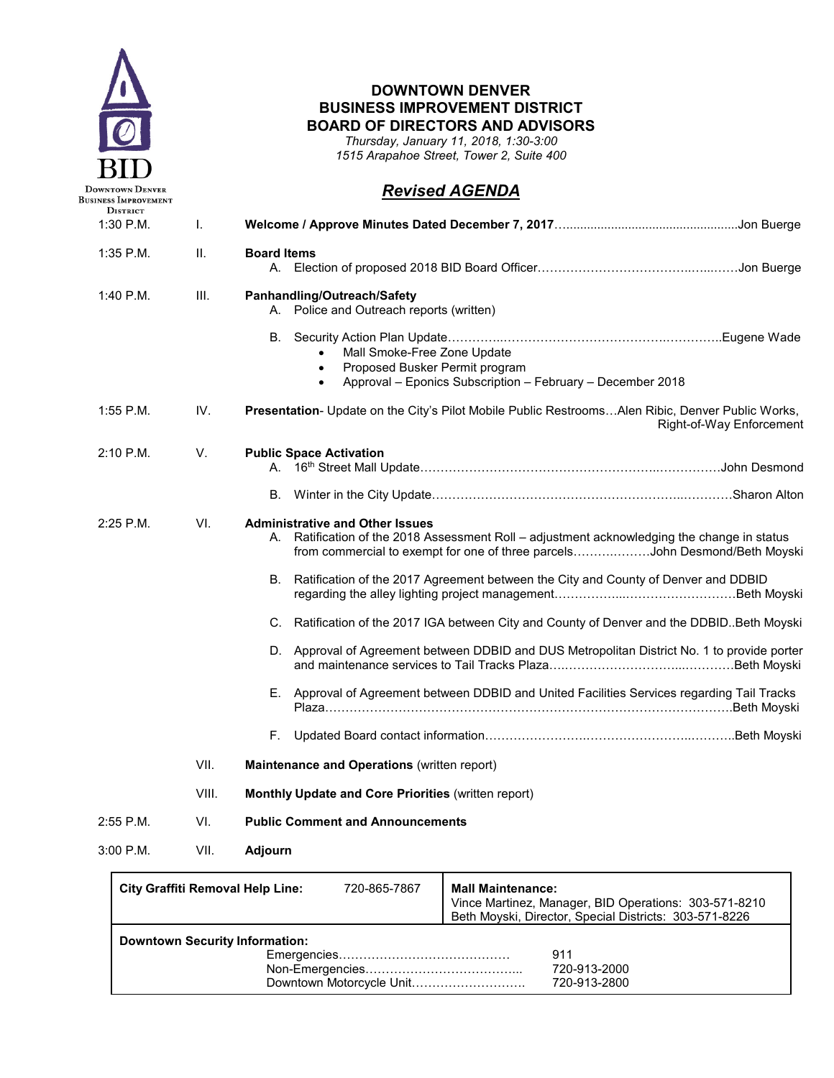

г

#### **DOWNTOWN DENVER BUSINESS IMPROVEMENT DISTRICT BOARD OF DIRECTORS AND ADVISORS**

*Thursday, January 11, 2018, 1:30-3:00 1515 Arapahoe Street, Tower 2, Suite 400*

# *Revised AGENDA*

| <b>DISTRICT</b><br>$1:30$ P.M. | I.    |                                                                                                                                                                                                                        |
|--------------------------------|-------|------------------------------------------------------------------------------------------------------------------------------------------------------------------------------------------------------------------------|
| 1:35 P.M.                      | Ш.    | <b>Board Items</b>                                                                                                                                                                                                     |
| 1:40 P.M.                      | III.  | Panhandling/Outreach/Safety<br>A. Police and Outreach reports (written)                                                                                                                                                |
|                                |       | Mall Smoke-Free Zone Update<br>Proposed Busker Permit program<br>$\bullet$<br>Approval - Eponics Subscription - February - December 2018<br>$\bullet$                                                                  |
| $1:55$ P.M.                    | IV.   | <b>Presentation-</b> Update on the City's Pilot Mobile Public Restrooms Alen Ribic, Denver Public Works,<br>Right-of-Way Enforcement                                                                                   |
| $2:10$ P.M.                    | V.    | <b>Public Space Activation</b>                                                                                                                                                                                         |
|                                |       |                                                                                                                                                                                                                        |
| 2:25 P.M.                      | VI.   | <b>Administrative and Other Issues</b><br>Ratification of the 2018 Assessment Roll - adjustment acknowledging the change in status<br>А.<br>from commercial to exempt for one of three parcelsJohn Desmond/Beth Moyski |
|                                |       | B. Ratification of the 2017 Agreement between the City and County of Denver and DDBID                                                                                                                                  |
|                                |       | C. Ratification of the 2017 IGA between City and County of Denver and the DDBID. Beth Moyski                                                                                                                           |
|                                |       | D. Approval of Agreement between DDBID and DUS Metropolitan District No. 1 to provide porter                                                                                                                           |
|                                |       | E. Approval of Agreement between DDBID and United Facilities Services regarding Tail Tracks                                                                                                                            |
|                                |       |                                                                                                                                                                                                                        |
|                                | VII.  | Maintenance and Operations (written report)                                                                                                                                                                            |
|                                | VIII. | Monthly Update and Core Priorities (written report)                                                                                                                                                                    |
| $2:55$ P.M.                    | VI.   | <b>Public Comment and Announcements</b>                                                                                                                                                                                |
| $3:00$ P.M.                    | VII.  | <b>Adjourn</b>                                                                                                                                                                                                         |

| City Graffiti Removal Help Line:      | 720-865-7867             | <b>Mall Maintenance:</b><br>Vince Martinez, Manager, BID Operations: 303-571-8210<br>Beth Moyski, Director, Special Districts: 303-571-8226 |
|---------------------------------------|--------------------------|---------------------------------------------------------------------------------------------------------------------------------------------|
| <b>Downtown Security Information:</b> | Downtown Motorcycle Unit | 911<br>720-913-2000<br>720-913-2800                                                                                                         |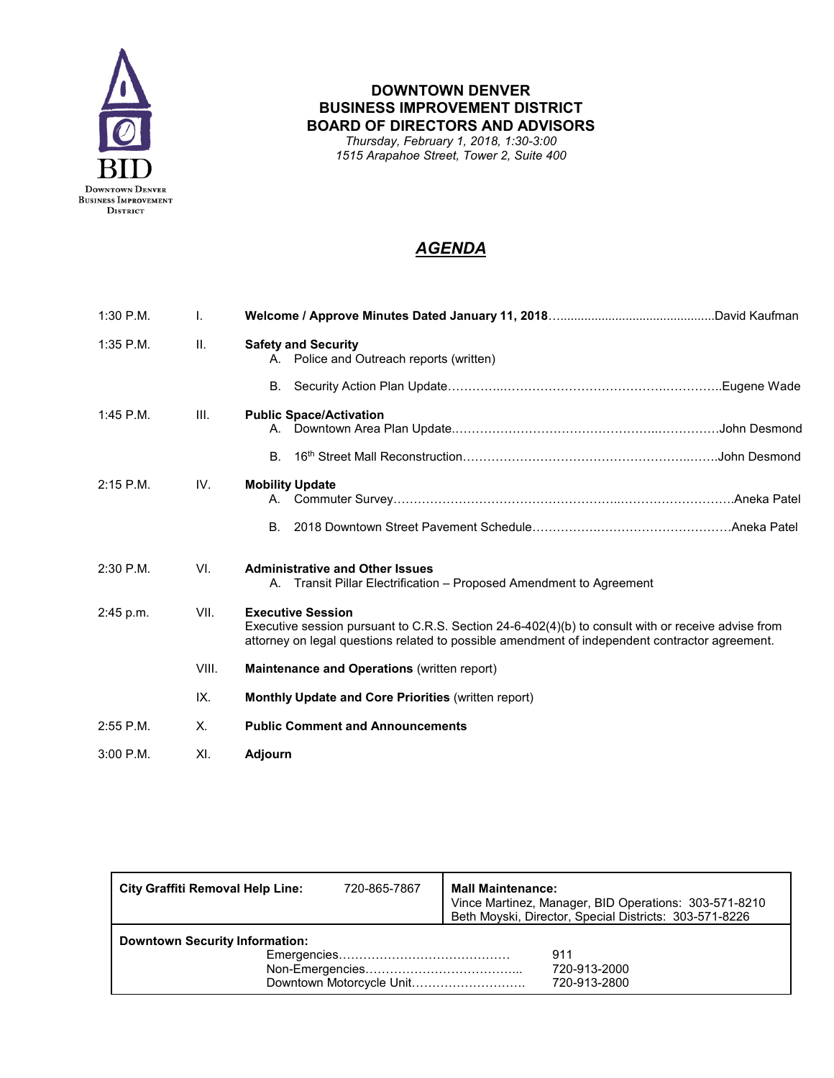

*Thursday, February 1, 2018, 1:30-3:00 1515 Arapahoe Street, Tower 2, Suite 400*

| $1:30$ P.M. | I.    |                                                                                                                                                                                                                                  |  |
|-------------|-------|----------------------------------------------------------------------------------------------------------------------------------------------------------------------------------------------------------------------------------|--|
| $1:35$ P.M. | H.    | <b>Safety and Security</b><br>A. Police and Outreach reports (written)                                                                                                                                                           |  |
|             |       | В.                                                                                                                                                                                                                               |  |
| $1:45$ P.M. | III.  | <b>Public Space/Activation</b>                                                                                                                                                                                                   |  |
|             |       | <b>B</b>                                                                                                                                                                                                                         |  |
| $2:15$ P.M. | IV.   | <b>Mobility Update</b>                                                                                                                                                                                                           |  |
|             |       | Β.                                                                                                                                                                                                                               |  |
| $2:30$ P.M. | VI.   | <b>Administrative and Other Issues</b><br>A. Transit Pillar Electrification – Proposed Amendment to Agreement                                                                                                                    |  |
| 2:45 p.m.   | VII.  | <b>Executive Session</b><br>Executive session pursuant to C.R.S. Section 24-6-402(4)(b) to consult with or receive advise from<br>attorney on legal questions related to possible amendment of independent contractor agreement. |  |
|             | VIII. | <b>Maintenance and Operations (written report)</b>                                                                                                                                                                               |  |
|             | IX.   | Monthly Update and Core Priorities (written report)                                                                                                                                                                              |  |
| $2:55$ P.M. | Χ.    | <b>Public Comment and Announcements</b>                                                                                                                                                                                          |  |
| $3:00$ P.M. | XI.   | <b>Adjourn</b>                                                                                                                                                                                                                   |  |

| <b>City Graffiti Removal Help Line:</b> | 720-865-7867 | <b>Mall Maintenance:</b><br>Vince Martinez, Manager, BID Operations: 303-571-8210<br>Beth Moyski, Director, Special Districts: 303-571-8226 |
|-----------------------------------------|--------------|---------------------------------------------------------------------------------------------------------------------------------------------|
| <b>Downtown Security Information:</b>   |              | 911<br>720-913-2000<br>720-913-2800                                                                                                         |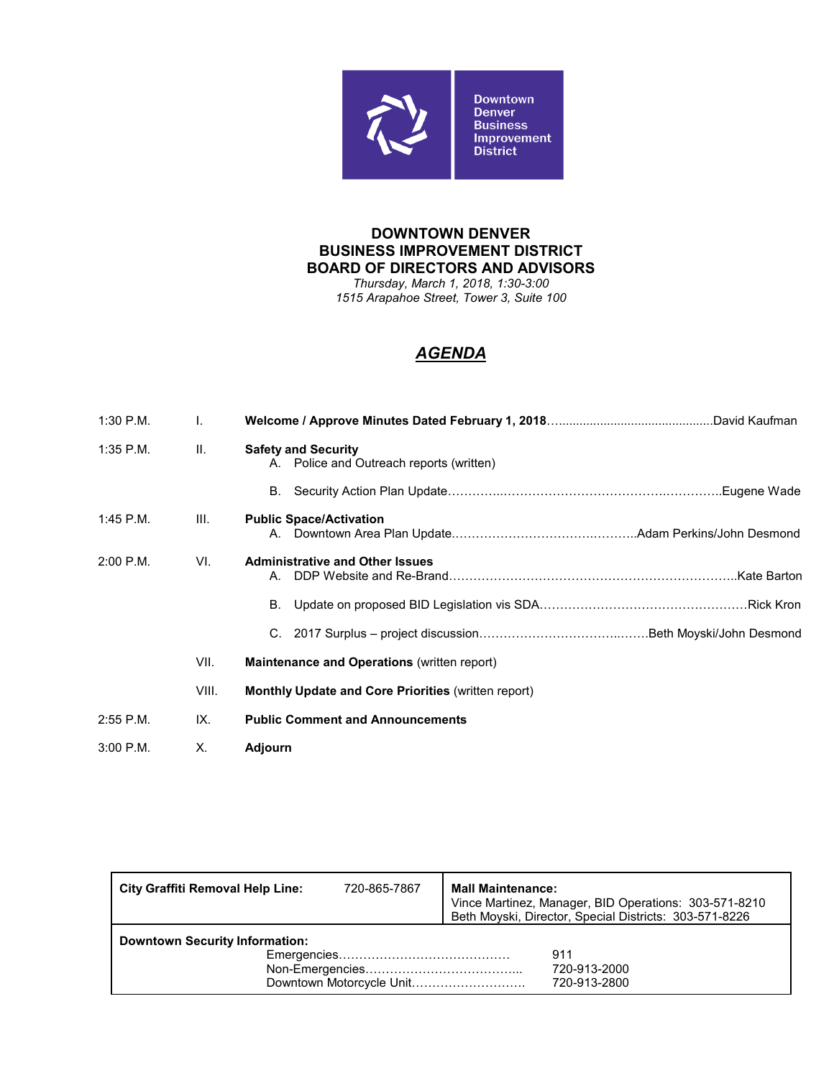

*Thursday, March 1, 2018, 1:30-3:00 1515 Arapahoe Street, Tower 3, Suite 100*

| $1:30$ P.M. | I.      |                                                                        |
|-------------|---------|------------------------------------------------------------------------|
| $1:35$ P.M. | $\Pi$ . | <b>Safety and Security</b><br>A. Police and Outreach reports (written) |
|             |         | B.                                                                     |
| $1:45$ P.M. | III.    | <b>Public Space/Activation</b>                                         |
| $2:00$ P.M. | VI.     | <b>Administrative and Other Issues</b>                                 |
|             |         | В.                                                                     |
|             |         |                                                                        |
|             | VII.    | <b>Maintenance and Operations (written report)</b>                     |
|             | VIII.   | <b>Monthly Update and Core Priorities (written report)</b>             |
| $2:55$ P.M. | IX.     | <b>Public Comment and Announcements</b>                                |
| $3:00$ P.M. | X.      | Adjourn                                                                |

| <b>City Graffiti Removal Help Line:</b> | 720-865-7867             | <b>Mall Maintenance:</b><br>Vince Martinez, Manager, BID Operations: 303-571-8210<br>Beth Moyski, Director, Special Districts: 303-571-8226 |
|-----------------------------------------|--------------------------|---------------------------------------------------------------------------------------------------------------------------------------------|
| <b>Downtown Security Information:</b>   | Downtown Motorcycle Unit | 911<br>720-913-2000<br>720-913-2800                                                                                                         |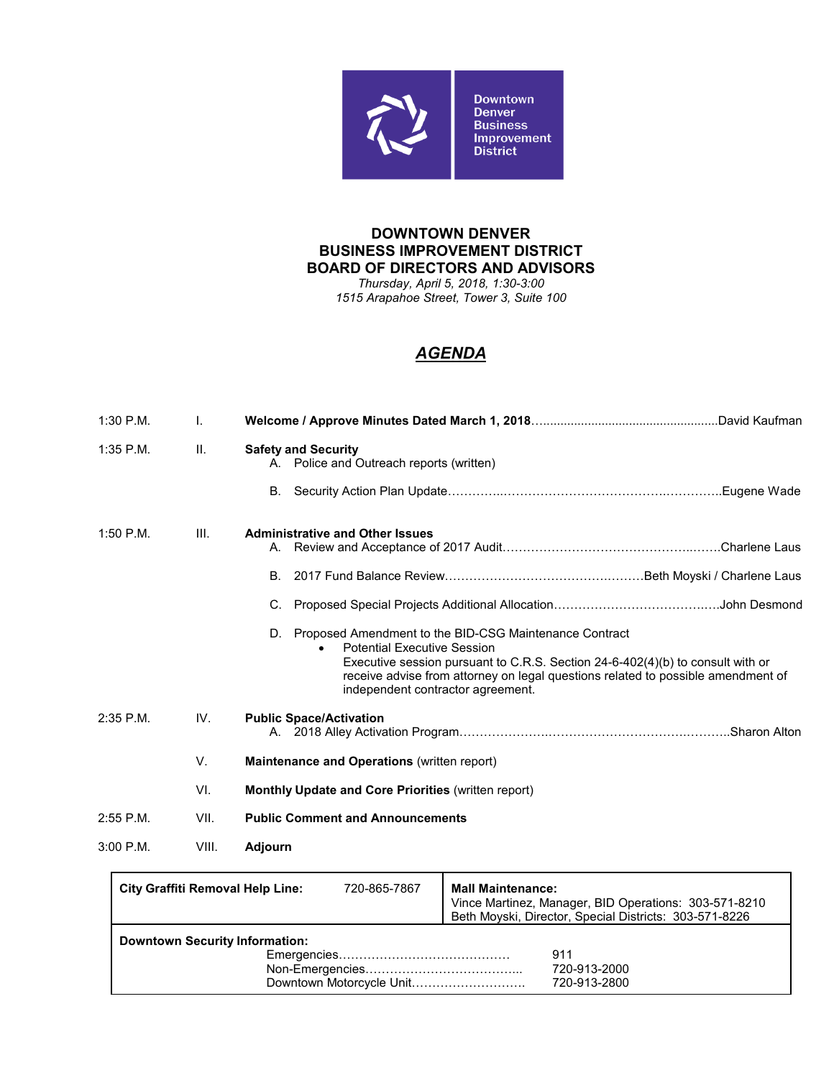

*Thursday, April 5, 2018, 1:30-3:00 1515 Arapahoe Street, Tower 3, Suite 100*

| $1:30$ P.M. | I.    |                                                                                                                                                                                                                                                                                                                                                                                    |  |  |
|-------------|-------|------------------------------------------------------------------------------------------------------------------------------------------------------------------------------------------------------------------------------------------------------------------------------------------------------------------------------------------------------------------------------------|--|--|
| $1:35$ P.M. | II.   | <b>Safety and Security</b><br>A. Police and Outreach reports (written)                                                                                                                                                                                                                                                                                                             |  |  |
|             |       | В.                                                                                                                                                                                                                                                                                                                                                                                 |  |  |
| $1:50$ P.M. | III.  | <b>Administrative and Other Issues</b><br>В.<br>C.<br>Proposed Amendment to the BID-CSG Maintenance Contract<br>D.<br><b>Potential Executive Session</b><br>$\bullet$<br>Executive session pursuant to C.R.S. Section $24-6-402(4)(b)$ to consult with or<br>receive advise from attorney on legal questions related to possible amendment of<br>independent contractor agreement. |  |  |
| $2:35$ P.M. | IV.   | <b>Public Space/Activation</b>                                                                                                                                                                                                                                                                                                                                                     |  |  |
|             | V.    | Maintenance and Operations (written report)                                                                                                                                                                                                                                                                                                                                        |  |  |
|             | VI.   | <b>Monthly Update and Core Priorities (written report)</b>                                                                                                                                                                                                                                                                                                                         |  |  |
| $2:55$ P.M. | VII.  | <b>Public Comment and Announcements</b>                                                                                                                                                                                                                                                                                                                                            |  |  |
| $3:00$ P.M. | VIII. | <b>Adjourn</b>                                                                                                                                                                                                                                                                                                                                                                     |  |  |

| <b>City Graffiti Removal Help Line:</b> | 720-865-7867             | <b>Mall Maintenance:</b><br>Vince Martinez, Manager, BID Operations: 303-571-8210<br>Beth Moyski, Director, Special Districts: 303-571-8226 |
|-----------------------------------------|--------------------------|---------------------------------------------------------------------------------------------------------------------------------------------|
| <b>Downtown Security Information:</b>   | Downtown Motorcycle Unit | 911<br>720-913-2000<br>720-913-2800                                                                                                         |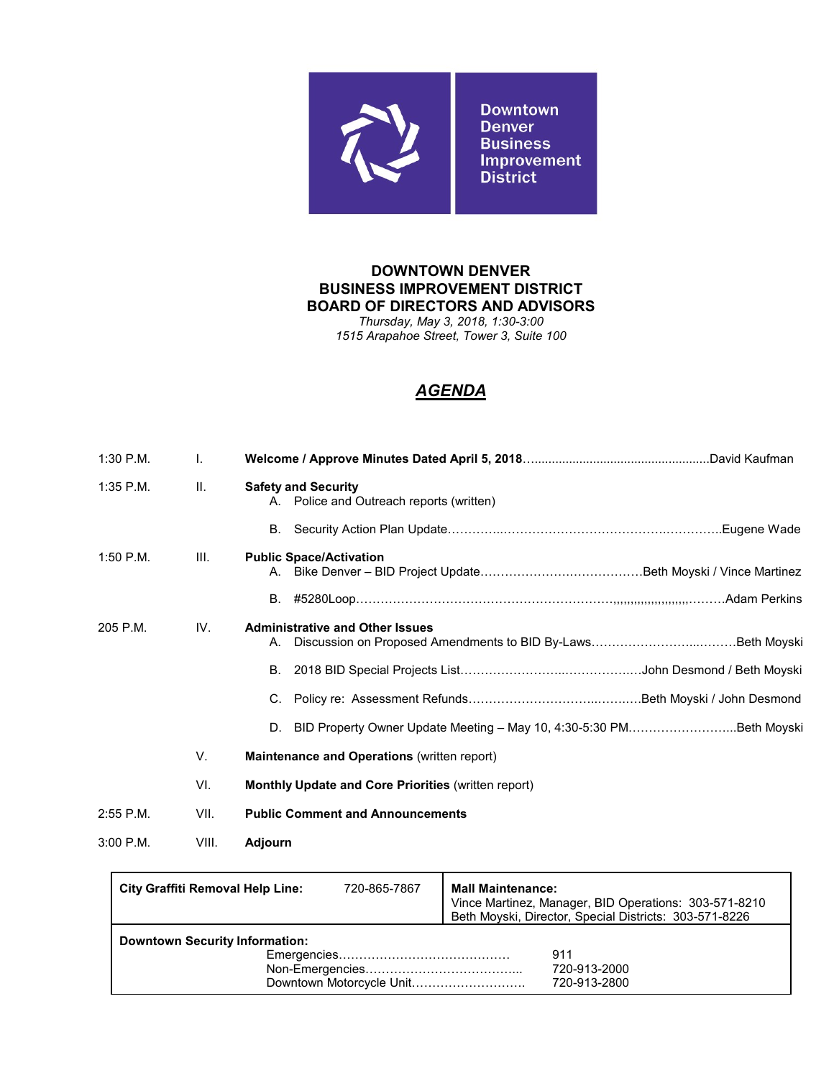

*Thursday, May 3, 2018, 1:30-3:00 1515 Arapahoe Street, Tower 3, Suite 100*

| $1:30$ P.M. | $\mathbf{I}$ . |                                                                        |
|-------------|----------------|------------------------------------------------------------------------|
| $1:35$ P.M. | II.            | <b>Safety and Security</b><br>A. Police and Outreach reports (written) |
|             |                |                                                                        |
| $1:50$ P.M. | III.           | <b>Public Space/Activation</b>                                         |
|             |                | B.                                                                     |
| 205 P.M.    | IV.            | <b>Administrative and Other Issues</b><br>А.                           |
|             |                | В.                                                                     |
|             |                | C.                                                                     |
|             |                | D. BID Property Owner Update Meeting - May 10, 4:30-5:30 PMBeth Moyski |
|             | V.             | Maintenance and Operations (written report)                            |
|             | VI.            | <b>Monthly Update and Core Priorities (written report)</b>             |
| $2:55$ P.M. | VII.           | <b>Public Comment and Announcements</b>                                |
| $3:00$ P.M. | VIII.          | Adjourn                                                                |

| <b>City Graffiti Removal Help Line:</b> | 720-865-7867             | <b>Mall Maintenance:</b><br>Vince Martinez, Manager, BID Operations: 303-571-8210<br>Beth Moyski, Director, Special Districts: 303-571-8226 |
|-----------------------------------------|--------------------------|---------------------------------------------------------------------------------------------------------------------------------------------|
| <b>Downtown Security Information:</b>   | Downtown Motorcycle Unit | 911<br>720-913-2000<br>720-913-2800                                                                                                         |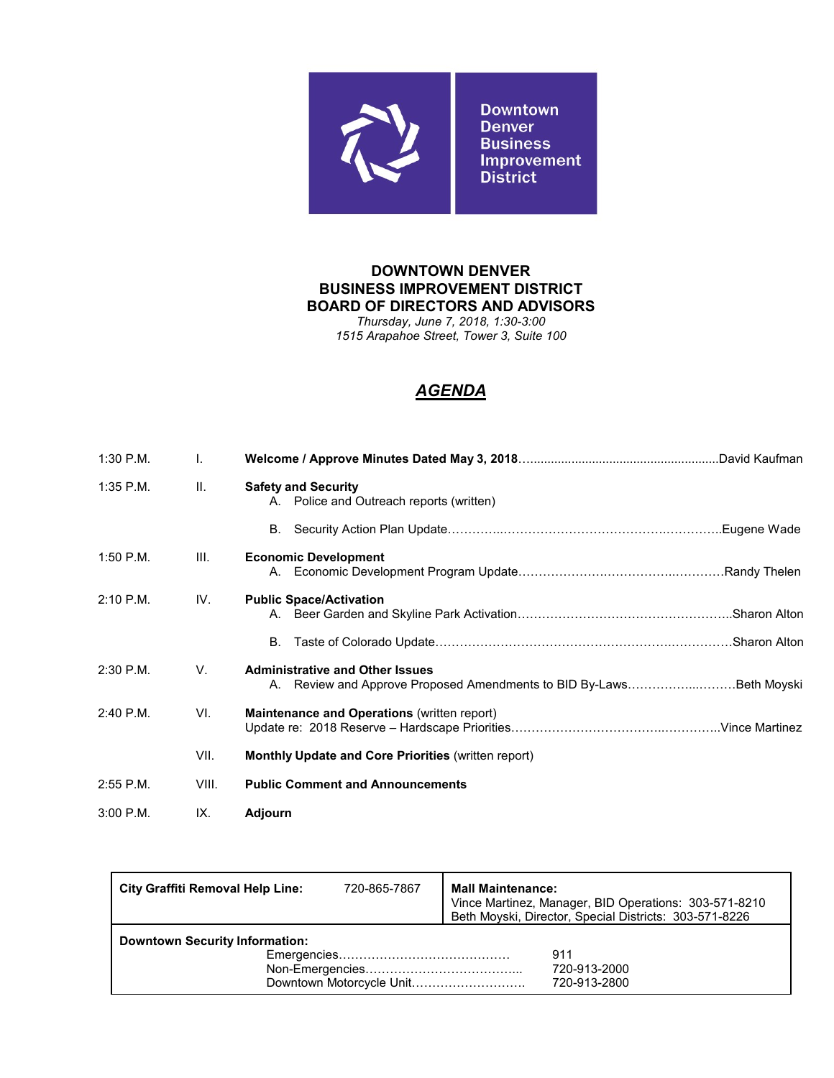

*Thursday, June 7, 2018, 1:30-3:00 1515 Arapahoe Street, Tower 3, Suite 100*

| $1:30$ P.M. | I.    |                                                                                                               |  |
|-------------|-------|---------------------------------------------------------------------------------------------------------------|--|
| $1:35$ P.M. | II.   | <b>Safety and Security</b><br>A. Police and Outreach reports (written)                                        |  |
|             |       | В.                                                                                                            |  |
| $1:50$ P.M. | III.  | <b>Economic Development</b>                                                                                   |  |
| $2:10$ P.M. | IV.   | <b>Public Space/Activation</b>                                                                                |  |
|             |       | В.                                                                                                            |  |
| 2:30 P.M.   | V.    | <b>Administrative and Other Issues</b><br>A. Review and Approve Proposed Amendments to BID By-LawsBeth Moyski |  |
| $2:40$ P.M. | VI.   | <b>Maintenance and Operations (written report)</b>                                                            |  |
|             | VII.  | <b>Monthly Update and Core Priorities (written report)</b>                                                    |  |
| $2:55$ P.M. | VIII. | <b>Public Comment and Announcements</b>                                                                       |  |
| $3:00$ P.M. | IX.   | Adjourn                                                                                                       |  |

| City Graffiti Removal Help Line:      | 720-865-7867             | <b>Mall Maintenance:</b><br>Vince Martinez, Manager, BID Operations: 303-571-8210<br>Beth Moyski, Director, Special Districts: 303-571-8226 |
|---------------------------------------|--------------------------|---------------------------------------------------------------------------------------------------------------------------------------------|
| <b>Downtown Security Information:</b> | Downtown Motorcycle Unit | 911<br>720-913-2000<br>720-913-2800                                                                                                         |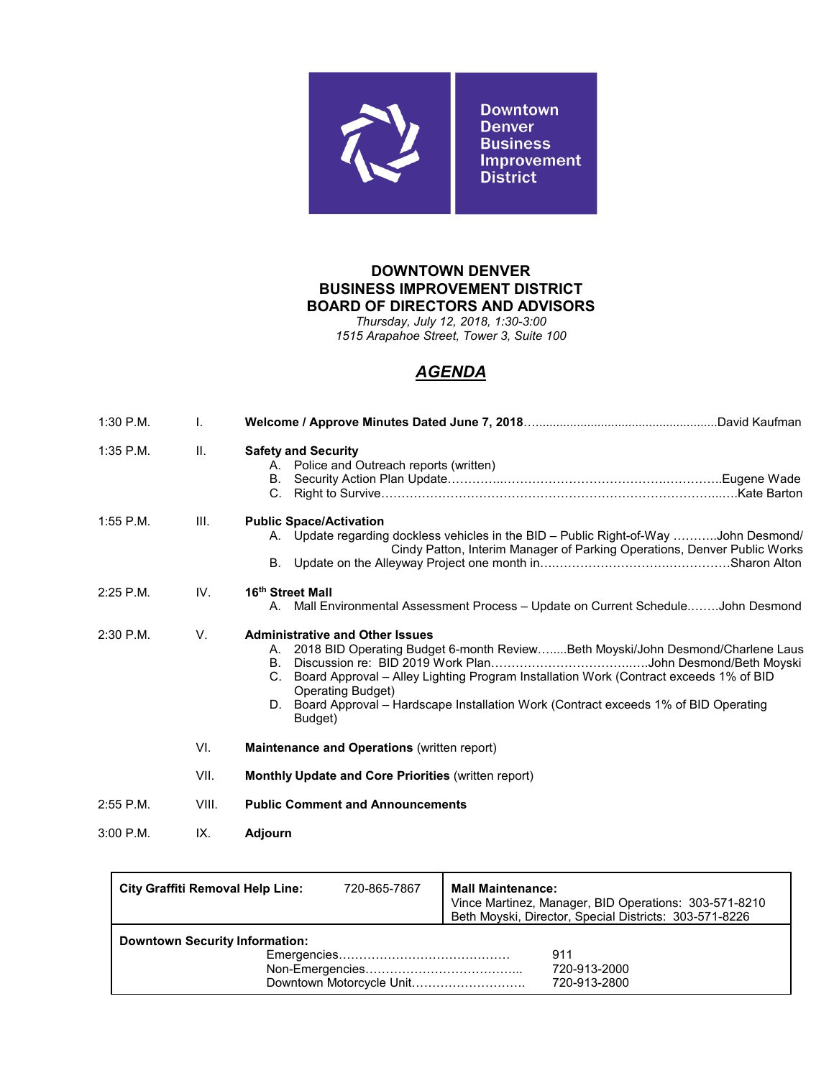

*Thursday, July 12, 2018, 1:30-3:00 1515 Arapahoe Street, Tower 3, Suite 100*

| $1:30$ P.M. | $\mathbf{I}$ .  |                                                                                                                                                                                                                                                                                                                                                  |  |  |  |  |
|-------------|-----------------|--------------------------------------------------------------------------------------------------------------------------------------------------------------------------------------------------------------------------------------------------------------------------------------------------------------------------------------------------|--|--|--|--|
| $1:35$ P.M. | $\mathbf{II}$ . | <b>Safety and Security</b><br>A. Police and Outreach reports (written)                                                                                                                                                                                                                                                                           |  |  |  |  |
| $1:55$ P.M. | III.            | <b>Public Space/Activation</b><br>A. Update regarding dockless vehicles in the BID - Public Right-of-Way John Desmond/<br>Cindy Patton, Interim Manager of Parking Operations, Denver Public Works                                                                                                                                               |  |  |  |  |
| $2:25$ P.M. | IV.             | 16th Street Mall<br>A. Mall Environmental Assessment Process - Update on Current ScheduleJohn Desmond                                                                                                                                                                                                                                            |  |  |  |  |
| 2:30 P.M.   | V.              | <b>Administrative and Other Issues</b><br>A. 2018 BID Operating Budget 6-month ReviewBeth Moyski/John Desmond/Charlene Laus<br>C. Board Approval - Alley Lighting Program Installation Work (Contract exceeds 1% of BID<br>Operating Budget)<br>D. Board Approval - Hardscape Installation Work (Contract exceeds 1% of BID Operating<br>Budget) |  |  |  |  |
|             | VI.             | <b>Maintenance and Operations (written report)</b>                                                                                                                                                                                                                                                                                               |  |  |  |  |
|             | VII.            | <b>Monthly Update and Core Priorities (written report)</b>                                                                                                                                                                                                                                                                                       |  |  |  |  |
| $2:55$ P.M. | VIII.           | <b>Public Comment and Announcements</b>                                                                                                                                                                                                                                                                                                          |  |  |  |  |
| $3:00$ P.M. | IX.             | <b>Adjourn</b>                                                                                                                                                                                                                                                                                                                                   |  |  |  |  |

| City Graffiti Removal Help Line:      | 720-865-7867             | <b>Mall Maintenance:</b><br>Vince Martinez, Manager, BID Operations: 303-571-8210<br>Beth Moyski, Director, Special Districts: 303-571-8226 |
|---------------------------------------|--------------------------|---------------------------------------------------------------------------------------------------------------------------------------------|
| <b>Downtown Security Information:</b> | Downtown Motorcycle Unit | 911<br>720-913-2000<br>720-913-2800                                                                                                         |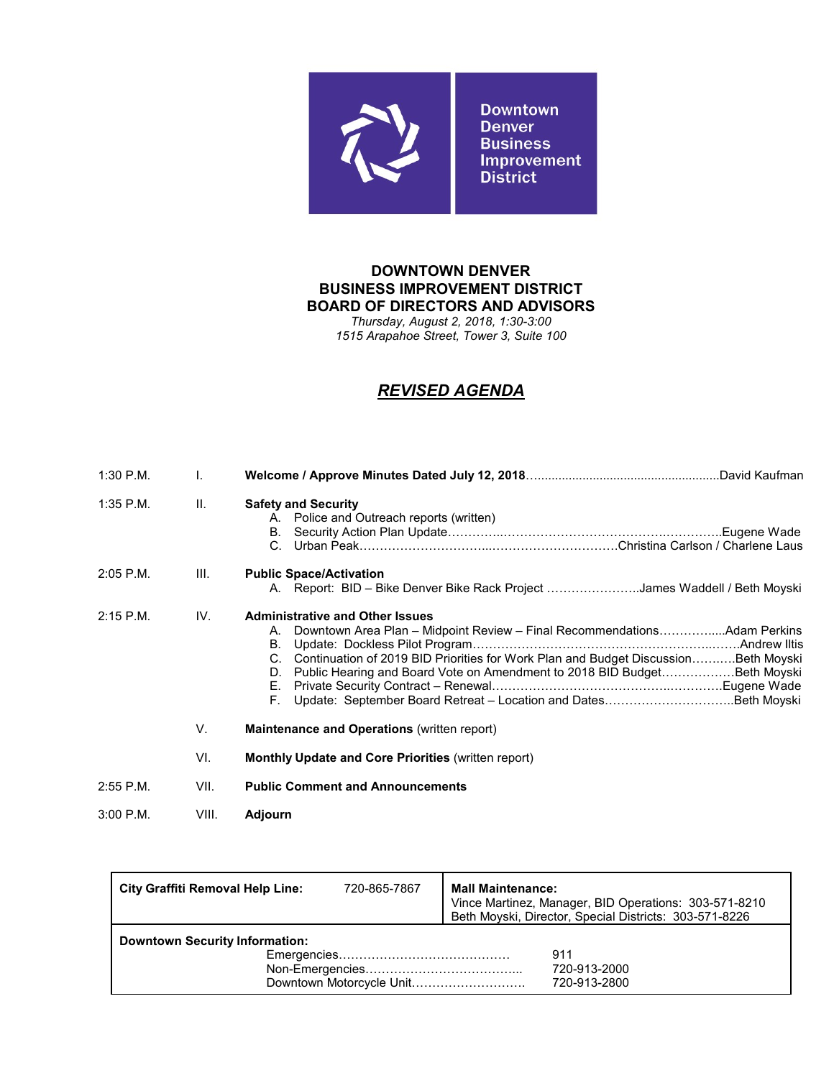

*Thursday, August 2, 2018, 1:30-3:00 1515 Arapahoe Street, Tower 3, Suite 100*

# *REVISED AGENDA*

| $1:30$ P.M. | $\mathbf{L}$ |                                                                                                                                                                                                                                                                                                                               |
|-------------|--------------|-------------------------------------------------------------------------------------------------------------------------------------------------------------------------------------------------------------------------------------------------------------------------------------------------------------------------------|
| $1:35$ P.M. | Ш.           | <b>Safety and Security</b><br>A. Police and Outreach reports (written)<br>.Eugene Wade<br>В.<br>C.                                                                                                                                                                                                                            |
| $2:05$ P.M. | III.         | <b>Public Space/Activation</b><br>A. Report: BID – Bike Denver Bike Rack Project James Waddell / Beth Moyski                                                                                                                                                                                                                  |
| $2:15$ P.M. | IV.          | <b>Administrative and Other Issues</b><br>Downtown Area Plan - Midpoint Review - Final RecommendationsAdam Perkins<br>А.<br><b>B.</b><br>C. Continuation of 2019 BID Priorities for Work Plan and Budget Discussion Beth Moyski<br>Public Hearing and Board Vote on Amendment to 2018 BID BudgetBeth Moyski<br>D.<br>Е.<br>Е. |
|             | V.           | <b>Maintenance and Operations (written report)</b>                                                                                                                                                                                                                                                                            |
|             | VI.          | <b>Monthly Update and Core Priorities (written report)</b>                                                                                                                                                                                                                                                                    |
| $2:55$ P.M. | VII.         | <b>Public Comment and Announcements</b>                                                                                                                                                                                                                                                                                       |
| $3:00$ P.M. | VIII.        | Adjourn                                                                                                                                                                                                                                                                                                                       |

| <b>City Graffiti Removal Help Line:</b> | 720-865-7867 | <b>Mall Maintenance:</b><br>Vince Martinez, Manager, BID Operations: 303-571-8210<br>Beth Moyski, Director, Special Districts: 303-571-8226 |
|-----------------------------------------|--------------|---------------------------------------------------------------------------------------------------------------------------------------------|
| <b>Downtown Security Information:</b>   |              | 911<br>720-913-2000<br>720-913-2800                                                                                                         |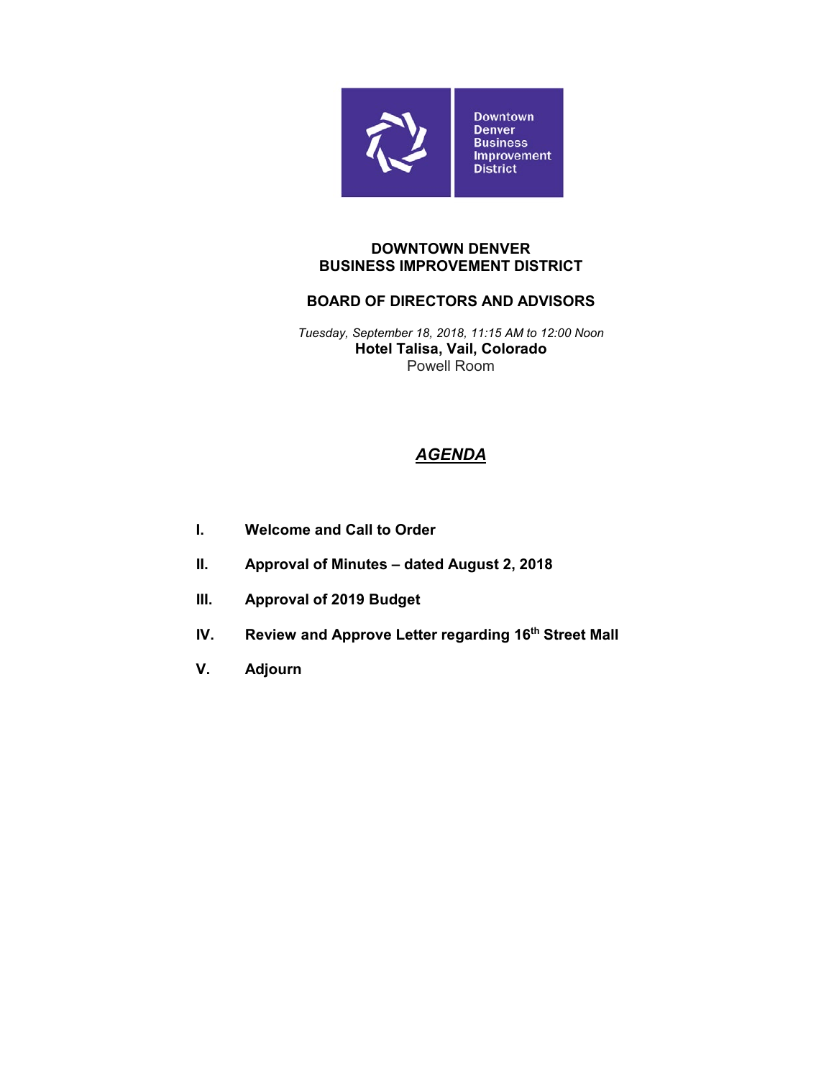

#### **DOWNTOWN DENVER BUSINESS IMPROVEMENT DISTRICT**

## **BOARD OF DIRECTORS AND ADVISORS**

*Tuesday, September 18, 2018, 11:15 AM to 12:00 Noon* **Hotel Talisa, Vail, Colorado** Powell Room

- **I. Welcome and Call to Order**
- **II. Approval of Minutes – dated August 2, 2018**
- **III. Approval of 2019 Budget**
- **IV.** Review and Approve Letter regarding 16<sup>th</sup> Street Mall
- **V. Adjourn**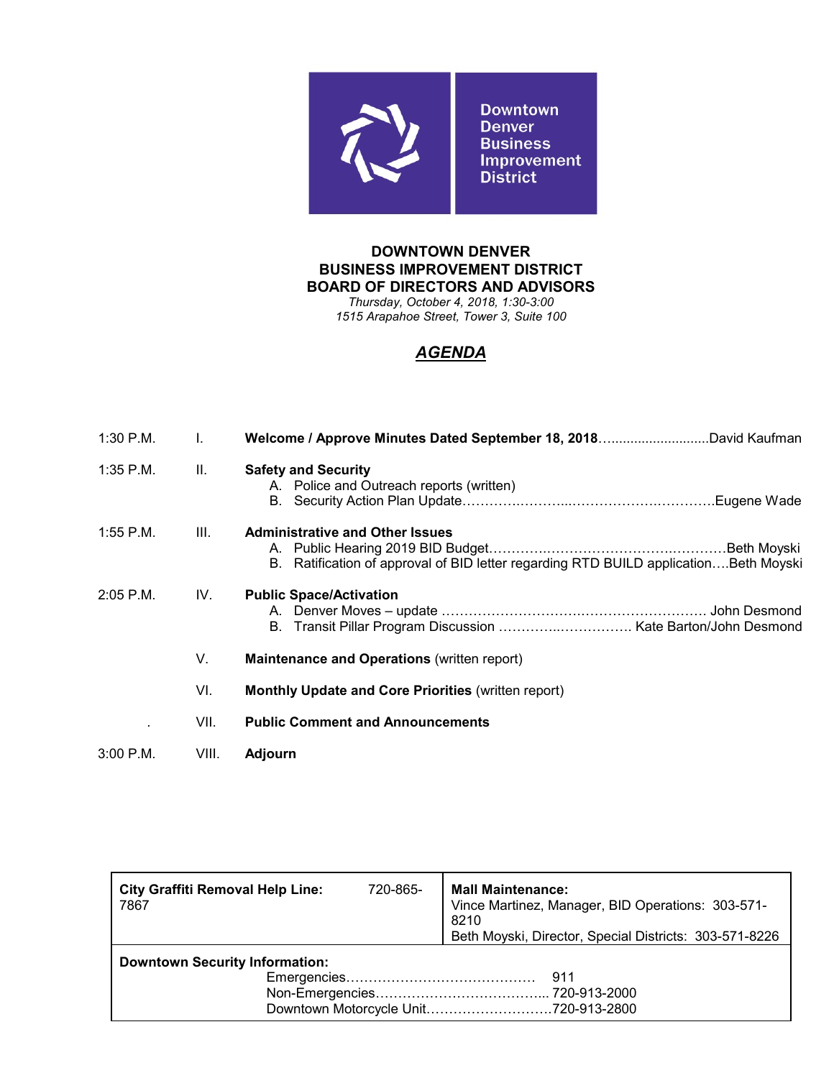

*Thursday, October 4, 2018, 1:30-3:00 1515 Arapahoe Street, Tower 3, Suite 100*

| $1:30$ P.M. | I.    |                                                                                                                                |  |  |  |
|-------------|-------|--------------------------------------------------------------------------------------------------------------------------------|--|--|--|
| $1:35$ P.M. | Ш.    | <b>Safety and Security</b><br>A. Police and Outreach reports (written)                                                         |  |  |  |
| $1:55$ P.M. | III.  | <b>Administrative and Other Issues</b><br>B. Ratification of approval of BID letter regarding RTD BUILD applicationBeth Moyski |  |  |  |
| $2:05$ P.M. | IV.   | <b>Public Space/Activation</b>                                                                                                 |  |  |  |
|             | V.    | <b>Maintenance and Operations (written report)</b>                                                                             |  |  |  |
|             | VI.   | <b>Monthly Update and Core Priorities (written report)</b>                                                                     |  |  |  |
|             | VII.  | <b>Public Comment and Announcements</b>                                                                                        |  |  |  |
| $3:00$ P.M. | VIII. | <b>Adjourn</b>                                                                                                                 |  |  |  |

| 720-865-                              | <b>Mall Maintenance:</b><br>Vince Martinez, Manager, BID Operations: 303-571-<br>8210 |  |  |  |
|---------------------------------------|---------------------------------------------------------------------------------------|--|--|--|
|                                       | Beth Moyski, Director, Special Districts: 303-571-8226                                |  |  |  |
| <b>Downtown Security Information:</b> |                                                                                       |  |  |  |
|                                       |                                                                                       |  |  |  |
|                                       |                                                                                       |  |  |  |
|                                       | Downtown Motorcycle Unit720-913-2800                                                  |  |  |  |
|                                       |                                                                                       |  |  |  |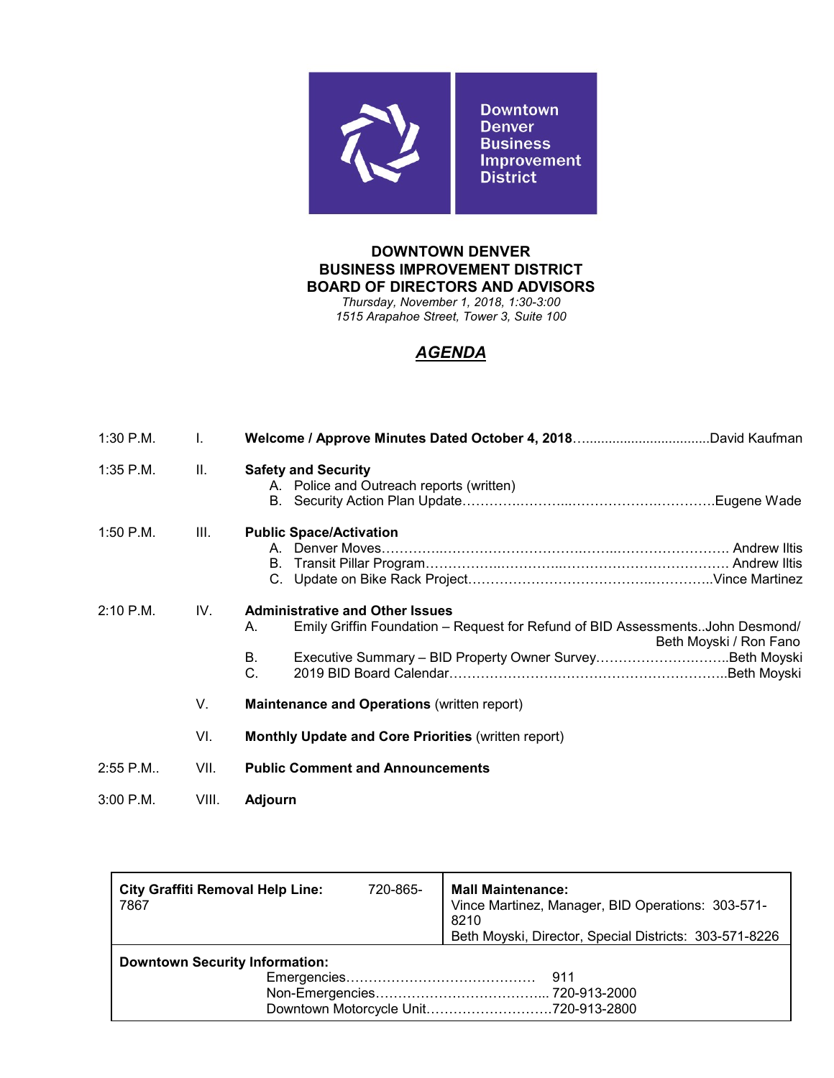

*Thursday, November 1, 2018, 1:30-3:00 1515 Arapahoe Street, Tower 3, Suite 100*

| 1:30 P.M.   | I.    |                                                                                                                                                                     |  |  |  |
|-------------|-------|---------------------------------------------------------------------------------------------------------------------------------------------------------------------|--|--|--|
| $1:35$ P.M. | Ш.    | <b>Safety and Security</b><br>A. Police and Outreach reports (written)                                                                                              |  |  |  |
| $1:50$ P.M. | III.  | <b>Public Space/Activation</b>                                                                                                                                      |  |  |  |
| $2:10$ P.M. | IV.   | <b>Administrative and Other Issues</b><br>Emily Griffin Foundation - Request for Refund of BID AssessmentsJohn Desmond/<br>А.<br>Beth Moyski / Ron Fano<br>В.<br>C. |  |  |  |
|             | V.    | <b>Maintenance and Operations (written report)</b>                                                                                                                  |  |  |  |
|             | VI.   | <b>Monthly Update and Core Priorities (written report)</b>                                                                                                          |  |  |  |
| $2:55$ P.M  | VII.  | <b>Public Comment and Announcements</b>                                                                                                                             |  |  |  |
| $3:00$ P.M. | VIII. | <b>Adjourn</b>                                                                                                                                                      |  |  |  |

| <b>City Graffiti Removal Help Line:</b><br>7867 | 720-865- | <b>Mall Maintenance:</b><br>Vince Martinez, Manager, BID Operations: 303-571-<br>8210 |  |  |  |
|-------------------------------------------------|----------|---------------------------------------------------------------------------------------|--|--|--|
|                                                 |          | Beth Moyski, Director, Special Districts: 303-571-8226                                |  |  |  |
| <b>Downtown Security Information:</b>           |          |                                                                                       |  |  |  |
|                                                 |          | -911                                                                                  |  |  |  |
|                                                 |          |                                                                                       |  |  |  |
|                                                 |          |                                                                                       |  |  |  |